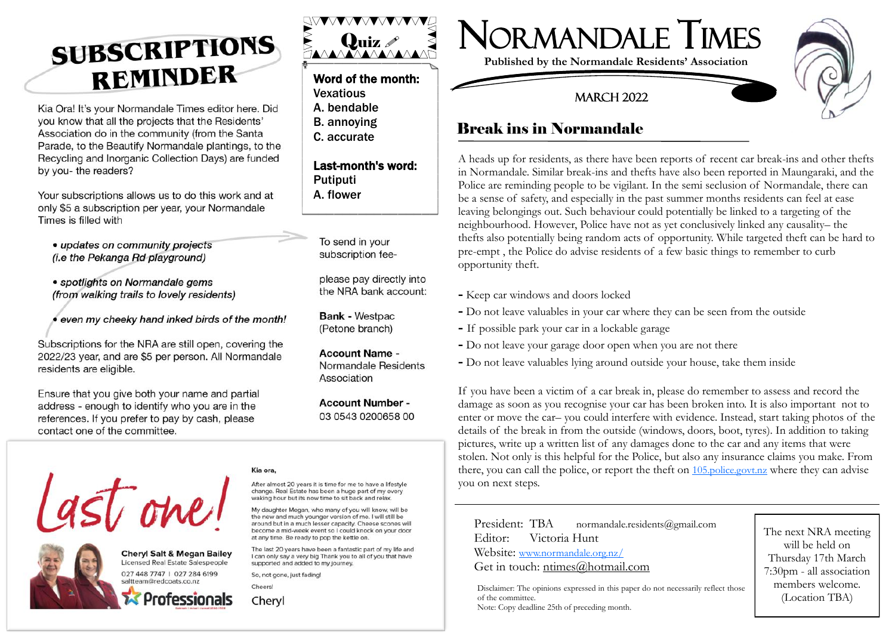# **SUBSCRIPTIONS** REMINDER

Kia Ora! It's your Normandale Times editor here. Did you know that all the projects that the Residents' Association do in the community (from the Santa Parade, to the Beautify Normandale plantings, to the Recycling and Inorganic Collection Days) are funded by you- the readers?

Your subscriptions allows us to do this work and at only \$5 a subscription per year, your Normandale Times is filled with

• updates on community projects (i.e the Pekanga Rd playground)

- · spotlights on Normandale gems (from walking trails to lovely residents)
- even my cheeky hand inked birds of the month!

Subscriptions for the NRA are still open, covering the 2022/23 year, and are \$5 per person. All Normandale residents are eligible.

Ensure that you give both your name and partial address - enough to identify who you are in the references. If you prefer to pay by cash, please contact one of the committee.



### Word of the month:

- **Vexatious**
- A. bendable
- B. annoying
- C. accurate

### Last -month's word: **Putiputi**

A. flower

To send in your subscription fee-

please pay directly into the NRA bank account:

**Bank - Westpac** (Petone branch)

**Account Name -**Normandale Residents Association

**Account Number -**03 0543 0200658 00



**Published by the Normandale Residents' Association**

### **MARCH 2022**



### Break ins in Normandale

A heads up for residents, as there have been reports of recent car break -ins and other thefts in Normandale. Similar break -ins and thefts have also been reported in Maungaraki, and the Police are reminding people to be vigilant. In the semi seclusion of Normandale, there can be a sense of safety, and especially in the past summer months residents can feel at ease leaving belongings out. Such behaviour could potentially be linked to a targeting of the neighbourhood. However, Police have not as yet conclusively linked any causality– the thefts also potentially being random acts of opportunity. While targeted theft can be hard to pre -empt , the Police do advise residents of a few basic things to remember to curb opportunity theft.

- **-** Keep car windows and doors locked
- **-** Do not leave valuables in your car where they can be seen from the outside
- **-** If possible park your car in a lockable garage
- **-** Do not leave your garage door open when you are not there
- **-** Do not leave valuables lying around outside your house, take them inside

If you have been a victim of a car break in, please do remember to assess and record the damage as soon as you recognise your car has been broken into. It is also important not to enter or move the car– you could interfere with evidence. Instead, start taking photos of the details of the break in from the outside (windows, doors, boot, tyres). In addition to taking pictures, write up a written list of any damages done to the car and any items that were stolen. Not only is this helpful for the Police, but also any insurance claims you make. From there, you can call the police, or report the theft on [105.police.govt.nz](https://www.police.govt.nz/105support) where they can advise you on next steps.

 President: TBA normandale.residents@gmail.com Editor: Victoria Hunt Website: [www.normandale.org.nz/](http://www.normandale.org.nz/) Get in touch: ntimes@hotmail.com

Disclaimer: The opinions expressed in this paper do not necessarily reflect those of the committee. Note: Copy deadline 25th of preceding month.

The next NRA meeting will be held on Thursday 17th March 7:30pm - all association members welcome. (Location TBA)



**Cheryl Salt & Megan Bailey** Licensed Real Estate Salespeople 027 448 7747 | 027 284 6199 saltteam@redcoats.co.nz



### Kia ora.

After almost 20 years it is time for me to have a lifestyle change. Real Estate has been a huge part of my every waking hour but its now time to sit back and relax

My daughter Megan, who many of you will know, will be the new and much younger version of me. I will still be around but in a much lesser capacity. Cheese scones will become a mid-week event so I could knock on your door at any time. Be ready to pop the kettle on.

The last 20 years have been a fantastic part of my life and I can only say a very big Thank you to all of you that have supported and added to my journey.

So, not gone, just fading!

Chervl

Cheers!